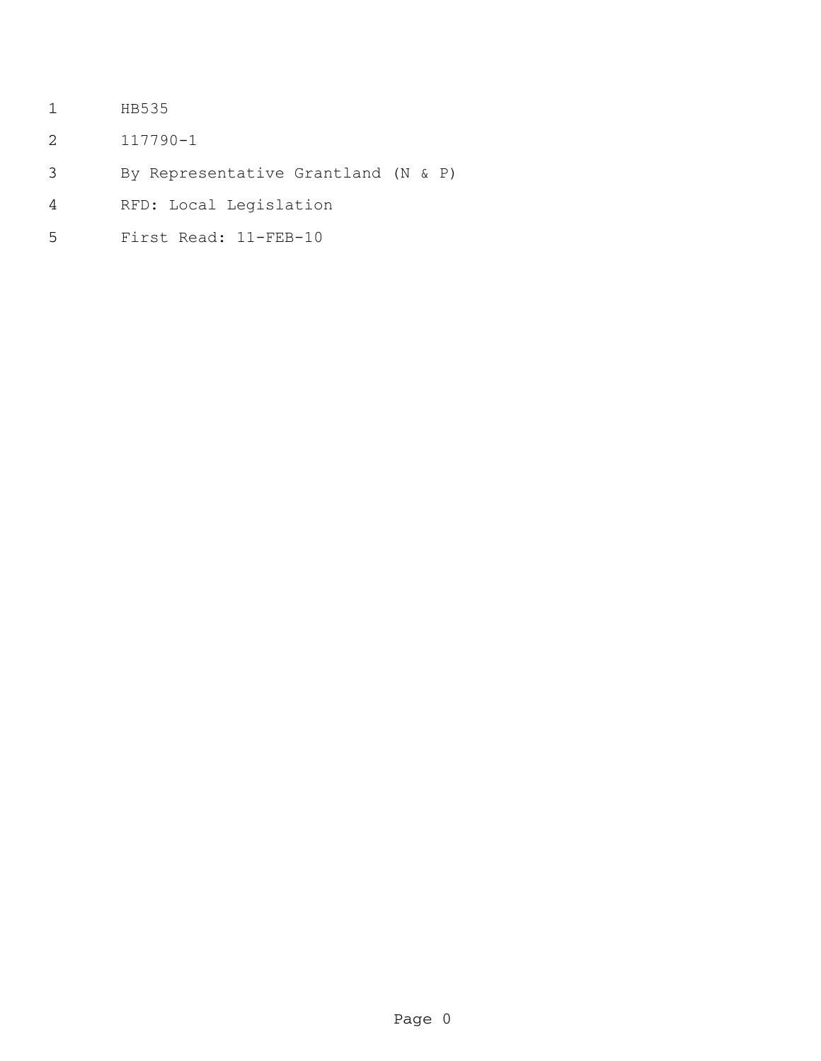- HB535
- 117790-1
- By Representative Grantland (N & P)
- RFD: Local Legislation
- First Read: 11-FEB-10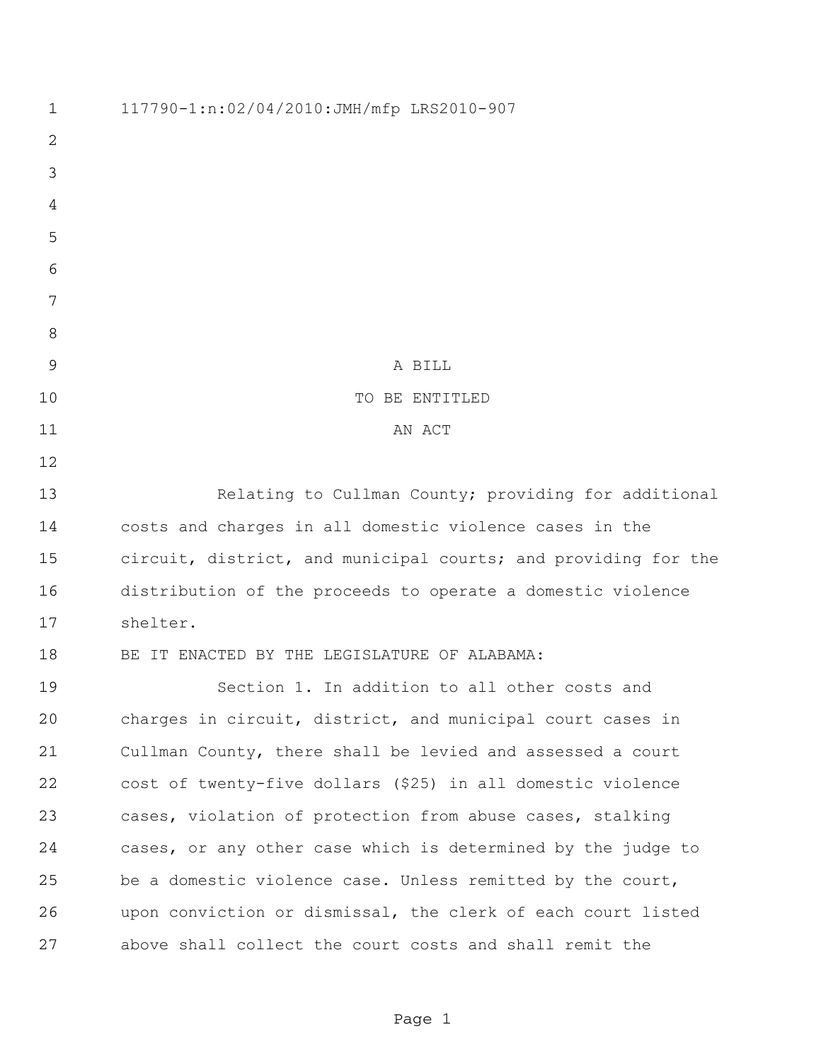117790-1:n:02/04/2010:JMH/mfp LRS2010-907 A BILL 10 TO BE ENTITLED 11 AN ACT 13 Relating to Cullman County; providing for additional costs and charges in all domestic violence cases in the circuit, district, and municipal courts; and providing for the distribution of the proceeds to operate a domestic violence shelter. BE IT ENACTED BY THE LEGISLATURE OF ALABAMA: Section 1. In addition to all other costs and charges in circuit, district, and municipal court cases in Cullman County, there shall be levied and assessed a court cost of twenty-five dollars (\$25) in all domestic violence cases, violation of protection from abuse cases, stalking cases, or any other case which is determined by the judge to be a domestic violence case. Unless remitted by the court, upon conviction or dismissal, the clerk of each court listed above shall collect the court costs and shall remit the